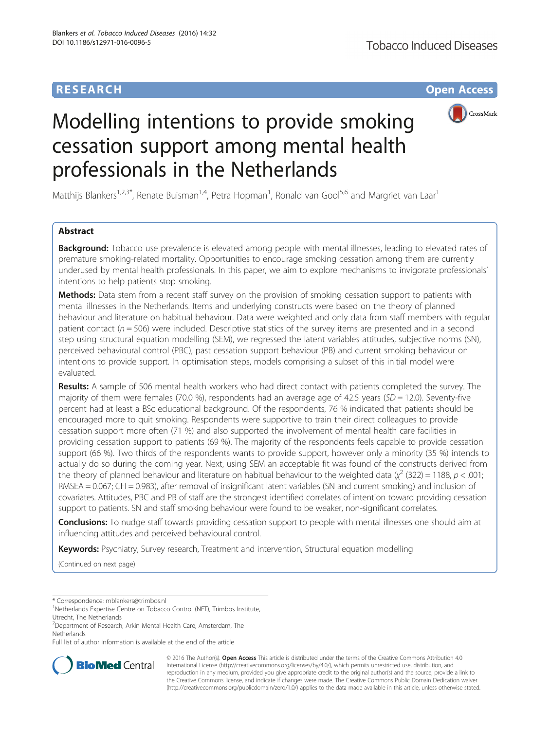## **RESEARCH CHE Open Access**



# Modelling intentions to provide smoking cessation support among mental health professionals in the Netherlands

Matthijs Blankers<sup>1,2,3\*</sup>, Renate Buisman<sup>1,4</sup>, Petra Hopman<sup>1</sup>, Ronald van Gool<sup>5,6</sup> and Margriet van Laar<sup>1</sup>

## Abstract

**Background:** Tobacco use prevalence is elevated among people with mental illnesses, leading to elevated rates of premature smoking-related mortality. Opportunities to encourage smoking cessation among them are currently underused by mental health professionals. In this paper, we aim to explore mechanisms to invigorate professionals' intentions to help patients stop smoking.

Methods: Data stem from a recent staff survey on the provision of smoking cessation support to patients with mental illnesses in the Netherlands. Items and underlying constructs were based on the theory of planned behaviour and literature on habitual behaviour. Data were weighted and only data from staff members with regular patient contact ( $n = 506$ ) were included. Descriptive statistics of the survey items are presented and in a second step using structural equation modelling (SEM), we regressed the latent variables attitudes, subjective norms (SN), perceived behavioural control (PBC), past cessation support behaviour (PB) and current smoking behaviour on intentions to provide support. In optimisation steps, models comprising a subset of this initial model were evaluated.

Results: A sample of 506 mental health workers who had direct contact with patients completed the survey. The majority of them were females (70.0 %), respondents had an average age of 42.5 years ( $SD = 12.0$ ). Seventy-five percent had at least a BSc educational background. Of the respondents, 76 % indicated that patients should be encouraged more to quit smoking. Respondents were supportive to train their direct colleagues to provide cessation support more often (71 %) and also supported the involvement of mental health care facilities in providing cessation support to patients (69 %). The majority of the respondents feels capable to provide cessation support (66 %). Two thirds of the respondents wants to provide support, however only a minority (35 %) intends to actually do so during the coming year. Next, using SEM an acceptable fit was found of the constructs derived from the theory of planned behaviour and literature on habitual behaviour to the weighted data ( $\chi^2$  (322) = 1188, p < .001; RMSEA = 0.067; CFI = 0.983), after removal of insignificant latent variables (SN and current smoking) and inclusion of covariates. Attitudes, PBC and PB of staff are the strongest identified correlates of intention toward providing cessation support to patients. SN and staff smoking behaviour were found to be weaker, non-significant correlates.

Conclusions: To nudge staff towards providing cessation support to people with mental illnesses one should aim at influencing attitudes and perceived behavioural control.

Keywords: Psychiatry, Survey research, Treatment and intervention, Structural equation modelling

(Continued on next page)

\* Correspondence: [mblankers@trimbos.nl](mailto:mblankers@trimbos.nl) <sup>1</sup>

<sup>1</sup>Netherlands Expertise Centre on Tobacco Control (NET), Trimbos Institute, Utrecht, The Netherlands

Full list of author information is available at the end of the article



© 2016 The Author(s). Open Access This article is distributed under the terms of the Creative Commons Attribution 4.0 International License [\(http://creativecommons.org/licenses/by/4.0/](http://creativecommons.org/licenses/by/4.0/)), which permits unrestricted use, distribution, and reproduction in any medium, provided you give appropriate credit to the original author(s) and the source, provide a link to the Creative Commons license, and indicate if changes were made. The Creative Commons Public Domain Dedication waiver [\(http://creativecommons.org/publicdomain/zero/1.0/](http://creativecommons.org/publicdomain/zero/1.0/)) applies to the data made available in this article, unless otherwise stated.

<sup>&</sup>lt;sup>2</sup>Department of Research, Arkin Mental Health Care, Amsterdam, The Netherlands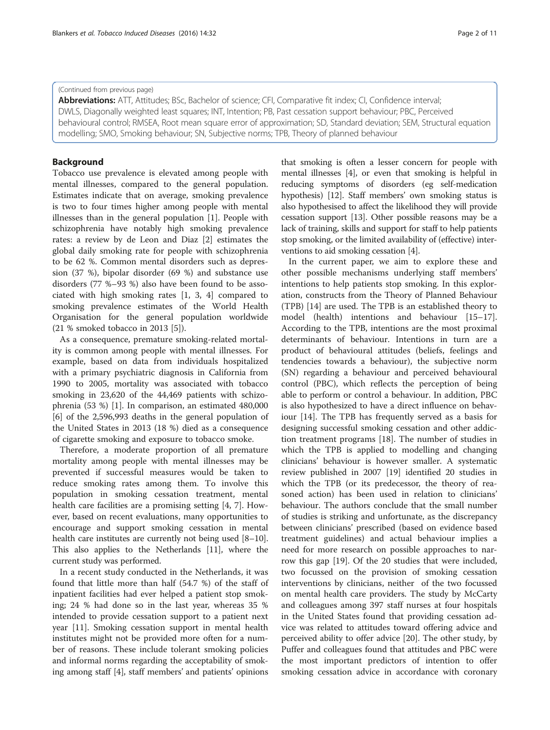#### (Continued from previous page)

Abbreviations: ATT, Attitudes; BSc, Bachelor of science; CFI, Comparative fit index; CI, Confidence interval; DWLS, Diagonally weighted least squares; INT, Intention; PB, Past cessation support behaviour; PBC, Perceived behavioural control; RMSEA, Root mean square error of approximation; SD, Standard deviation; SEM, Structural equation modelling; SMO, Smoking behaviour; SN, Subjective norms; TPB, Theory of planned behaviour

## Background

Tobacco use prevalence is elevated among people with mental illnesses, compared to the general population. Estimates indicate that on average, smoking prevalence is two to four times higher among people with mental illnesses than in the general population [[1\]](#page-9-0). People with schizophrenia have notably high smoking prevalence rates: a review by de Leon and Diaz [\[2](#page-9-0)] estimates the global daily smoking rate for people with schizophrenia to be 62 %. Common mental disorders such as depression (37 %), bipolar disorder (69 %) and substance use disorders (77 %–93 %) also have been found to be associated with high smoking rates [\[1](#page-9-0), [3](#page-9-0), [4](#page-9-0)] compared to smoking prevalence estimates of the World Health Organisation for the general population worldwide (21 % smoked tobacco in 2013 [\[5](#page-9-0)]).

As a consequence, premature smoking-related mortality is common among people with mental illnesses. For example, based on data from individuals hospitalized with a primary psychiatric diagnosis in California from 1990 to 2005, mortality was associated with tobacco smoking in 23,620 of the 44,469 patients with schizophrenia (53 %) [\[1\]](#page-9-0). In comparison, an estimated 480,000 [[6\]](#page-9-0) of the 2,596,993 deaths in the general population of the United States in 2013 (18 %) died as a consequence of cigarette smoking and exposure to tobacco smoke.

Therefore, a moderate proportion of all premature mortality among people with mental illnesses may be prevented if successful measures would be taken to reduce smoking rates among them. To involve this population in smoking cessation treatment, mental health care facilities are a promising setting [[4](#page-9-0), [7\]](#page-9-0). However, based on recent evaluations, many opportunities to encourage and support smoking cessation in mental health care institutes are currently not being used  $[8-10]$  $[8-10]$  $[8-10]$  $[8-10]$ . This also applies to the Netherlands [[11](#page-9-0)], where the current study was performed.

In a recent study conducted in the Netherlands, it was found that little more than half (54.7 %) of the staff of inpatient facilities had ever helped a patient stop smoking; 24 % had done so in the last year, whereas 35 % intended to provide cessation support to a patient next year [\[11](#page-9-0)]. Smoking cessation support in mental health institutes might not be provided more often for a number of reasons. These include tolerant smoking policies and informal norms regarding the acceptability of smoking among staff [\[4](#page-9-0)], staff members' and patients' opinions

that smoking is often a lesser concern for people with mental illnesses [\[4](#page-9-0)], or even that smoking is helpful in reducing symptoms of disorders (eg self-medication hypothesis) [[12](#page-9-0)]. Staff members' own smoking status is also hypothesised to affect the likelihood they will provide cessation support [\[13\]](#page-9-0). Other possible reasons may be a lack of training, skills and support for staff to help patients stop smoking, or the limited availability of (effective) interventions to aid smoking cessation [[4\]](#page-9-0).

In the current paper, we aim to explore these and other possible mechanisms underlying staff members' intentions to help patients stop smoking. In this exploration, constructs from the Theory of Planned Behaviour (TPB) [\[14](#page-9-0)] are used. The TPB is an established theory to model (health) intentions and behaviour [[15](#page-9-0)–[17](#page-9-0)]. According to the TPB, intentions are the most proximal determinants of behaviour. Intentions in turn are a product of behavioural attitudes (beliefs, feelings and tendencies towards a behaviour), the subjective norm (SN) regarding a behaviour and perceived behavioural control (PBC), which reflects the perception of being able to perform or control a behaviour. In addition, PBC is also hypothesized to have a direct influence on behaviour [[14](#page-9-0)]. The TPB has frequently served as a basis for designing successful smoking cessation and other addiction treatment programs [\[18](#page-9-0)]. The number of studies in which the TPB is applied to modelling and changing clinicians' behaviour is however smaller. A systematic review published in 2007 [\[19](#page-9-0)] identified 20 studies in which the TPB (or its predecessor, the theory of reasoned action) has been used in relation to clinicians' behaviour. The authors conclude that the small number of studies is striking and unfortunate, as the discrepancy between clinicians' prescribed (based on evidence based treatment guidelines) and actual behaviour implies a need for more research on possible approaches to narrow this gap [[19](#page-9-0)]. Of the 20 studies that were included, two focussed on the provision of smoking cessation interventions by clinicians, neither of the two focussed on mental health care providers. The study by McCarty and colleagues among 397 staff nurses at four hospitals in the United States found that providing cessation advice was related to attitudes toward offering advice and perceived ability to offer advice [[20](#page-9-0)]. The other study, by Puffer and colleagues found that attitudes and PBC were the most important predictors of intention to offer smoking cessation advice in accordance with coronary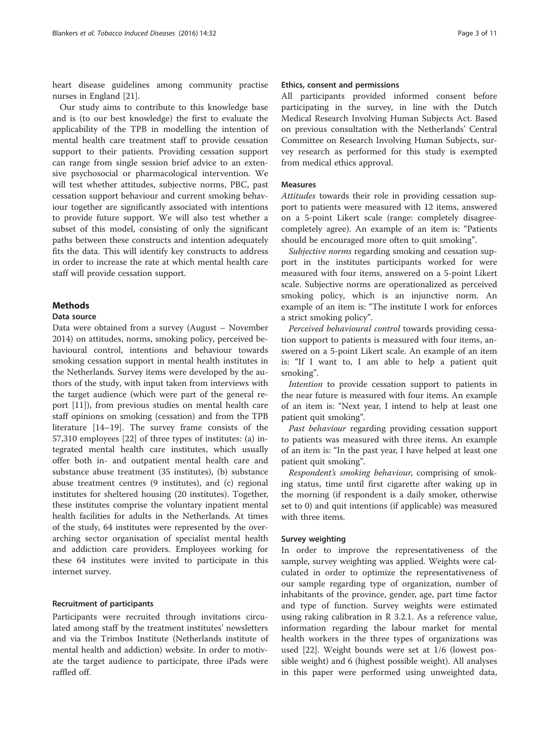heart disease guidelines among community practise nurses in England [\[21](#page-10-0)].

Our study aims to contribute to this knowledge base and is (to our best knowledge) the first to evaluate the applicability of the TPB in modelling the intention of mental health care treatment staff to provide cessation support to their patients. Providing cessation support can range from single session brief advice to an extensive psychosocial or pharmacological intervention. We will test whether attitudes, subjective norms, PBC, past cessation support behaviour and current smoking behaviour together are significantly associated with intentions to provide future support. We will also test whether a subset of this model, consisting of only the significant paths between these constructs and intention adequately fits the data. This will identify key constructs to address in order to increase the rate at which mental health care staff will provide cessation support.

## Methods

## Data source

Data were obtained from a survey (August – November 2014) on attitudes, norms, smoking policy, perceived behavioural control, intentions and behaviour towards smoking cessation support in mental health institutes in the Netherlands. Survey items were developed by the authors of the study, with input taken from interviews with the target audience (which were part of the general report [[11\]](#page-9-0)), from previous studies on mental health care staff opinions on smoking (cessation) and from the TPB literature [\[14](#page-9-0)–[19\]](#page-9-0). The survey frame consists of the 57,310 employees [\[22](#page-10-0)] of three types of institutes: (a) integrated mental health care institutes, which usually offer both in- and outpatient mental health care and substance abuse treatment (35 institutes), (b) substance abuse treatment centres (9 institutes), and (c) regional institutes for sheltered housing (20 institutes). Together, these institutes comprise the voluntary inpatient mental health facilities for adults in the Netherlands. At times of the study, 64 institutes were represented by the overarching sector organisation of specialist mental health and addiction care providers. Employees working for these 64 institutes were invited to participate in this internet survey.

#### Recruitment of participants

Participants were recruited through invitations circulated among staff by the treatment institutes' newsletters and via the Trimbos Institute (Netherlands institute of mental health and addiction) website. In order to motivate the target audience to participate, three iPads were raffled off.

#### Ethics, consent and permissions

All participants provided informed consent before participating in the survey, in line with the Dutch Medical Research Involving Human Subjects Act. Based on previous consultation with the Netherlands' Central Committee on Research Involving Human Subjects, survey research as performed for this study is exempted from medical ethics approval.

#### Measures

Attitudes towards their role in providing cessation support to patients were measured with 12 items, answered on a 5-point Likert scale (range: completely disagreecompletely agree). An example of an item is: "Patients should be encouraged more often to quit smoking".

Subjective norms regarding smoking and cessation support in the institutes participants worked for were measured with four items, answered on a 5-point Likert scale. Subjective norms are operationalized as perceived smoking policy, which is an injunctive norm. An example of an item is: "The institute I work for enforces a strict smoking policy".

Perceived behavioural control towards providing cessation support to patients is measured with four items, answered on a 5-point Likert scale. An example of an item is: "If I want to, I am able to help a patient quit smoking".

Intention to provide cessation support to patients in the near future is measured with four items. An example of an item is: "Next year, I intend to help at least one patient quit smoking".

Past behaviour regarding providing cessation support to patients was measured with three items. An example of an item is: "In the past year, I have helped at least one patient quit smoking".

Respondent's smoking behaviour, comprising of smoking status, time until first cigarette after waking up in the morning (if respondent is a daily smoker, otherwise set to 0) and quit intentions (if applicable) was measured with three items.

#### Survey weighting

In order to improve the representativeness of the sample, survey weighting was applied. Weights were calculated in order to optimize the representativeness of our sample regarding type of organization, number of inhabitants of the province, gender, age, part time factor and type of function. Survey weights were estimated using raking calibration in R 3.2.1. As a reference value, information regarding the labour market for mental health workers in the three types of organizations was used [[22\]](#page-10-0). Weight bounds were set at 1/6 (lowest possible weight) and 6 (highest possible weight). All analyses in this paper were performed using unweighted data,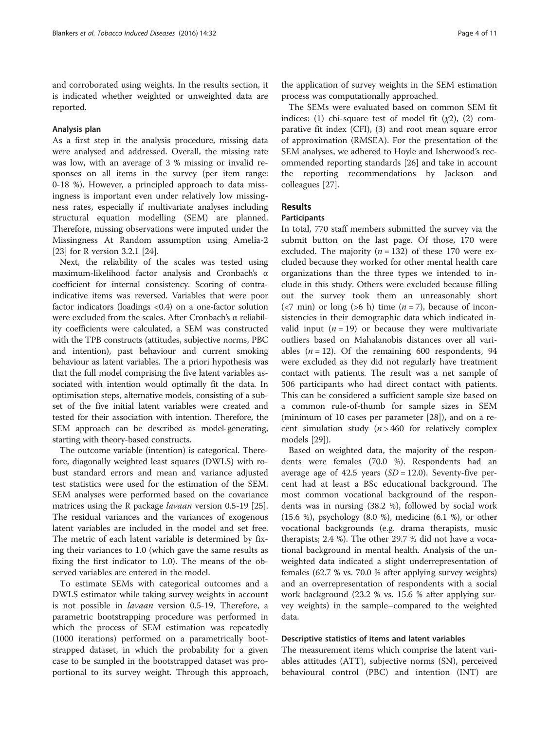and corroborated using weights. In the results section, it is indicated whether weighted or unweighted data are reported.

## Analysis plan

As a first step in the analysis procedure, missing data were analysed and addressed. Overall, the missing rate was low, with an average of 3 % missing or invalid responses on all items in the survey (per item range: 0-18 %). However, a principled approach to data missingness is important even under relatively low missingness rates, especially if multivariate analyses including structural equation modelling (SEM) are planned. Therefore, missing observations were imputed under the Missingness At Random assumption using Amelia-2 [[23\]](#page-10-0) for R version 3.2.1 [[24\]](#page-10-0).

Next, the reliability of the scales was tested using maximum-likelihood factor analysis and Cronbach's α coefficient for internal consistency. Scoring of contraindicative items was reversed. Variables that were poor factor indicators (loadings <0.4) on a one-factor solution were excluded from the scales. After Cronbach's α reliability coefficients were calculated, a SEM was constructed with the TPB constructs (attitudes, subjective norms, PBC and intention), past behaviour and current smoking behaviour as latent variables. The a priori hypothesis was that the full model comprising the five latent variables associated with intention would optimally fit the data. In optimisation steps, alternative models, consisting of a subset of the five initial latent variables were created and tested for their association with intention. Therefore, the SEM approach can be described as model-generating, starting with theory-based constructs.

The outcome variable (intention) is categorical. Therefore, diagonally weighted least squares (DWLS) with robust standard errors and mean and variance adjusted test statistics were used for the estimation of the SEM. SEM analyses were performed based on the covariance matrices using the R package lavaan version 0.5-19 [\[25](#page-10-0)]. The residual variances and the variances of exogenous latent variables are included in the model and set free. The metric of each latent variable is determined by fixing their variances to 1.0 (which gave the same results as fixing the first indicator to 1.0). The means of the observed variables are entered in the model.

To estimate SEMs with categorical outcomes and a DWLS estimator while taking survey weights in account is not possible in lavaan version 0.5-19. Therefore, a parametric bootstrapping procedure was performed in which the process of SEM estimation was repeatedly (1000 iterations) performed on a parametrically bootstrapped dataset, in which the probability for a given case to be sampled in the bootstrapped dataset was proportional to its survey weight. Through this approach, the application of survey weights in the SEM estimation process was computationally approached.

The SEMs were evaluated based on common SEM fit indices: (1) chi-square test of model fit  $(\chi^2)$ , (2) comparative fit index (CFI), (3) and root mean square error of approximation (RMSEA). For the presentation of the SEM analyses, we adhered to Hoyle and Isherwood's recommended reporting standards [[26](#page-10-0)] and take in account the reporting recommendations by Jackson and colleagues [\[27](#page-10-0)].

## Results

#### **Participants**

In total, 770 staff members submitted the survey via the submit button on the last page. Of those, 170 were excluded. The majority ( $n = 132$ ) of these 170 were excluded because they worked for other mental health care organizations than the three types we intended to include in this study. Others were excluded because filling out the survey took them an unreasonably short ( $\langle$ 7 min) or long ( $>$ 6 h) time ( $n$  = 7), because of inconsistencies in their demographic data which indicated invalid input  $(n = 19)$  or because they were multivariate outliers based on Mahalanobis distances over all variables ( $n = 12$ ). Of the remaining 600 respondents, 94 were excluded as they did not regularly have treatment contact with patients. The result was a net sample of 506 participants who had direct contact with patients. This can be considered a sufficient sample size based on a common rule-of-thumb for sample sizes in SEM (minimum of 10 cases per parameter [\[28\]](#page-10-0)), and on a recent simulation study  $(n > 460$  for relatively complex models [\[29\]](#page-10-0)).

Based on weighted data, the majority of the respondents were females (70.0 %). Respondents had an average age of 42.5 years  $(SD = 12.0)$ . Seventy-five percent had at least a BSc educational background. The most common vocational background of the respondents was in nursing (38.2 %), followed by social work (15.6 %), psychology (8.0 %), medicine (6.1 %), or other vocational backgrounds (e.g. drama therapists, music therapists; 2.4 %). The other 29.7 % did not have a vocational background in mental health. Analysis of the unweighted data indicated a slight underrepresentation of females (62.7 % vs. 70.0 % after applying survey weights) and an overrepresentation of respondents with a social work background (23.2 % vs. 15.6 % after applying survey weights) in the sample–compared to the weighted data.

#### Descriptive statistics of items and latent variables

The measurement items which comprise the latent variables attitudes (ATT), subjective norms (SN), perceived behavioural control (PBC) and intention (INT) are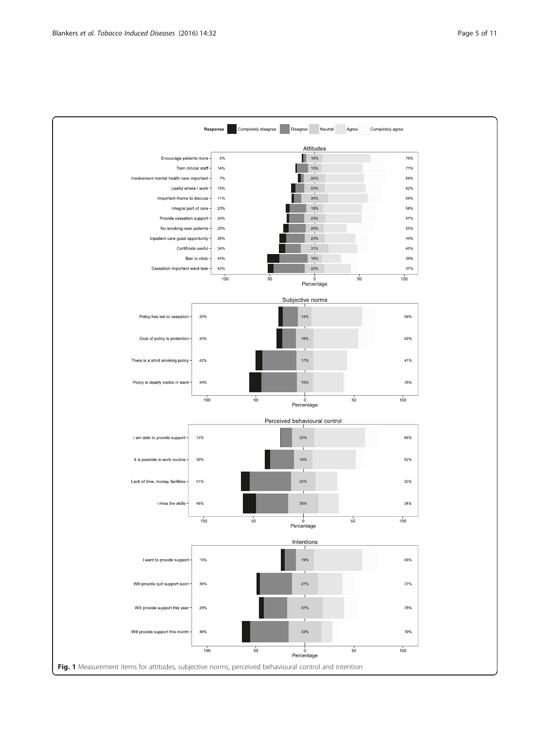<span id="page-4-0"></span>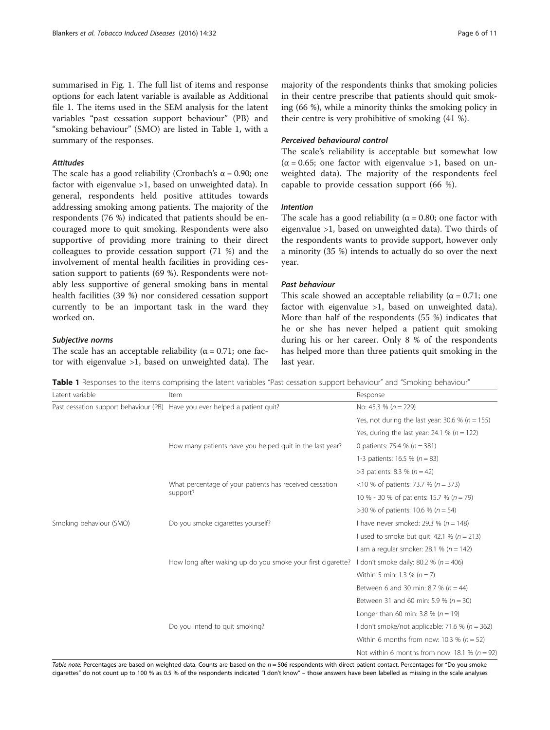summarised in Fig. [1](#page-4-0). The full list of items and response options for each latent variable is available as Additional file [1](#page-9-0). The items used in the SEM analysis for the latent variables "past cessation support behaviour" (PB) and "smoking behaviour" (SMO) are listed in Table 1, with a summary of the responses.

#### Attitudes

The scale has a good reliability (Cronbach's  $\alpha$  = 0.90; one factor with eigenvalue >1, based on unweighted data). In general, respondents held positive attitudes towards addressing smoking among patients. The majority of the respondents (76 %) indicated that patients should be encouraged more to quit smoking. Respondents were also supportive of providing more training to their direct colleagues to provide cessation support (71 %) and the involvement of mental health facilities in providing cessation support to patients (69 %). Respondents were notably less supportive of general smoking bans in mental health facilities (39 %) nor considered cessation support currently to be an important task in the ward they worked on.

#### Subjective norms

The scale has an acceptable reliability ( $\alpha = 0.71$ ; one factor with eigenvalue >1, based on unweighted data). The

majority of the respondents thinks that smoking policies in their centre prescribe that patients should quit smoking (66 %), while a minority thinks the smoking policy in their centre is very prohibitive of smoking (41 %).

#### Perceived behavioural control

The scale's reliability is acceptable but somewhat low  $(\alpha = 0.65;$  one factor with eigenvalue >1, based on unweighted data). The majority of the respondents feel capable to provide cessation support (66 %).

## Intention

The scale has a good reliability ( $\alpha$  = 0.80; one factor with eigenvalue >1, based on unweighted data). Two thirds of the respondents wants to provide support, however only a minority (35 %) intends to actually do so over the next year.

#### Past behaviour

This scale showed an acceptable reliability ( $\alpha$  = 0.71; one factor with eigenvalue >1, based on unweighted data). More than half of the respondents (55 %) indicates that he or she has never helped a patient quit smoking during his or her career. Only 8 % of the respondents has helped more than three patients quit smoking in the last year.

Table 1 Responses to the items comprising the latent variables "Past cessation support behaviour" and "Smoking behaviour"

| Latent variable         | Item                                                                       | Response                                            |
|-------------------------|----------------------------------------------------------------------------|-----------------------------------------------------|
|                         | Past cessation support behaviour (PB) Have you ever helped a patient quit? | No: 45.3 % ( $n = 229$ )                            |
|                         |                                                                            | Yes, not during the last year: 30.6 % ( $n = 155$ ) |
|                         |                                                                            | Yes, during the last year: 24.1 % ( $n = 122$ )     |
|                         | How many patients have you helped quit in the last year?                   | 0 patients: 75.4 % ( $n = 381$ )                    |
|                         |                                                                            | 1-3 patients: 16.5 % ( $n = 83$ )                   |
|                         |                                                                            | >3 patients: 8.3 % ( $n = 42$ )                     |
|                         | What percentage of your patients has received cessation<br>support?        | <10 % of patients: 73.7 % ( $n = 373$ )             |
|                         |                                                                            | 10 % - 30 % of patients: 15.7 % (n = 79)            |
|                         |                                                                            | >30 % of patients: 10.6 % ( $n = 54$ )              |
| Smoking behaviour (SMO) | Do you smoke cigarettes yourself?                                          | I have never smoked: 29.3 % ( $n = 148$ )           |
|                         |                                                                            | I used to smoke but quit: 42.1 % ( $n = 213$ )      |
|                         |                                                                            | I am a regular smoker: 28.1 % $(n = 142)$           |
|                         | How long after waking up do you smoke your first cigarette?                | I don't smoke daily: 80.2 % ( $n = 406$ )           |
|                         |                                                                            | Within 5 min: 1.3 % ( $n = 7$ )                     |
|                         |                                                                            | Between 6 and 30 min: 8.7 % ( $n = 44$ )            |
|                         |                                                                            | Between 31 and 60 min: 5.9 % ( $n = 30$ )           |
|                         |                                                                            | Longer than 60 min: 3.8 % ( $n = 19$ )              |
|                         | Do you intend to quit smoking?                                             | I don't smoke/not applicable: 71.6 % ( $n = 362$ )  |
|                         |                                                                            | Within 6 months from now: 10.3 % ( $n = 52$ )       |
|                         |                                                                            | Not within 6 months from now: 18.1 % ( $n = 92$ )   |

Table note: Percentages are based on weighted data. Counts are based on the  $n = 506$  respondents with direct patient contact. Percentages for "Do you smoke cigarettes" do not count up to 100 % as 0.5 % of the respondents indicated "I don't know" – those answers have been labelled as missing in the scale analyses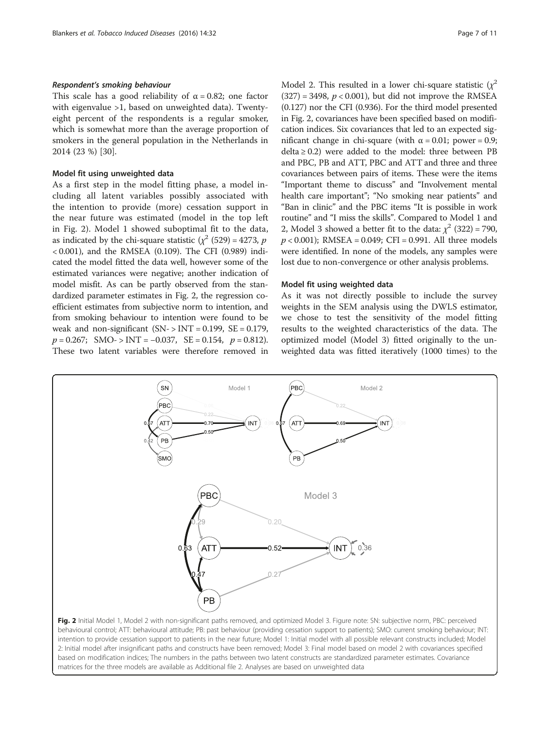#### Respondent's smoking behaviour

This scale has a good reliability of  $\alpha = 0.82$ ; one factor with eigenvalue >1, based on unweighted data). Twentyeight percent of the respondents is a regular smoker, which is somewhat more than the average proportion of smokers in the general population in the Netherlands in 2014 (23 %) [\[30](#page-10-0)].

#### Model fit using unweighted data

As a first step in the model fitting phase, a model including all latent variables possibly associated with the intention to provide (more) cessation support in the near future was estimated (model in the top left in Fig. 2). Model 1 showed suboptimal fit to the data, as indicated by the chi-square statistic ( $\chi^2$  (529) = 4273, p < 0.001), and the RMSEA (0.109). The CFI (0.989) indicated the model fitted the data well, however some of the estimated variances were negative; another indication of model misfit. As can be partly observed from the standardized parameter estimates in Fig. 2, the regression coefficient estimates from subjective norm to intention, and from smoking behaviour to intention were found to be weak and non-significant  $(SN - > INT = 0.199, SE = 0.179,$  $p = 0.267$ ; SMO- > INT = -0.037, SE = 0.154,  $p = 0.812$ ). These two latent variables were therefore removed in

Model 2. This resulted in a lower chi-square statistic  $(\chi^2)$  $(327) = 3498$ ,  $p < 0.001$ ), but did not improve the RMSEA (0.127) nor the CFI (0.936). For the third model presented in Fig. 2, covariances have been specified based on modification indices. Six covariances that led to an expected significant change in chi-square (with  $α = 0.01$ ; power = 0.9;  $delta \ge 0.2$ ) were added to the model: three between PB and PBC, PB and ATT, PBC and ATT and three and three covariances between pairs of items. These were the items "Important theme to discuss" and "Involvement mental health care important"; "No smoking near patients" and "Ban in clinic" and the PBC items "It is possible in work routine" and "I miss the skills". Compared to Model 1 and 2, Model 3 showed a better fit to the data:  $\chi^2$  (322) = 790,  $p < 0.001$ ); RMSEA = 0.049; CFI = 0.991. All three models were identified. In none of the models, any samples were lost due to non-convergence or other analysis problems.

#### Model fit using weighted data

As it was not directly possible to include the survey weights in the SEM analysis using the DWLS estimator, we chose to test the sensitivity of the model fitting results to the weighted characteristics of the data. The optimized model (Model 3) fitted originally to the unweighted data was fitted iteratively (1000 times) to the



behavioural control; ATT: behavioural attitude; PB: past behaviour (providing cessation support to patients); SMO: current smoking behaviour; INT: intention to provide cessation support to patients in the near future; Model 1: Initial model with all possible relevant constructs included; Model 2: Initial model after insignificant paths and constructs have been removed; Model 3: Final model based on model 2 with covariances specified based on modification indices; The numbers in the paths between two latent constructs are standardized parameter estimates. Covariance matrices for the three models are available as Additional file [2.](#page-9-0) Analyses are based on unweighted data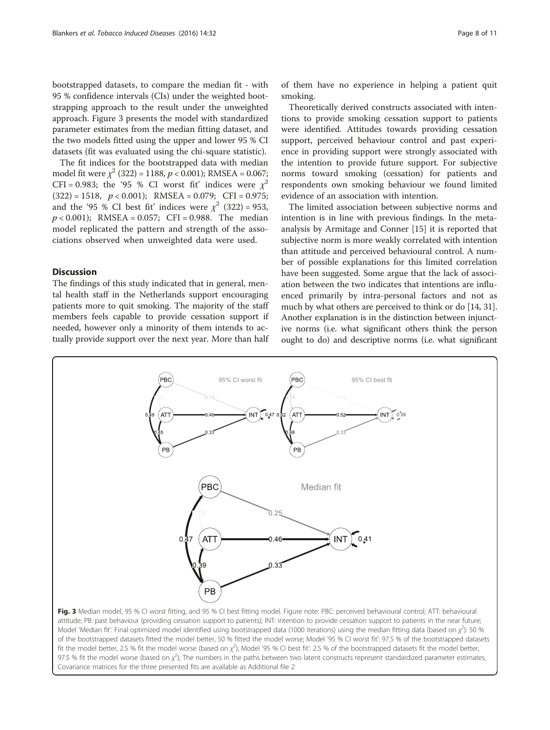bootstrapped datasets, to compare the median fit - with 95 % confidence intervals (CIs) under the weighted bootstrapping approach to the result under the unweighted approach. Figure 3 presents the model with standardized parameter estimates from the median fitting dataset, and the two models fitted using the upper and lower 95 % CI datasets (fit was evaluated using the chi-square statistic).

The fit indices for the bootstrapped data with median model fit were  $\chi^2$  (322) = 1188,  $p < 0.001$ ); RMSEA = 0.067; CFI = 0.983; the '95 % CI worst fit' indices were  $x^2$  $(322) = 1518$ ,  $p < 0.001$ ); RMSEA = 0.079; CFI = 0.975; and the '95 % CI best fit' indices were  $\chi^2$  (322) = 953,  $p < 0.001$ ); RMSEA = 0.057; CFI = 0.988. The median model replicated the pattern and strength of the associations observed when unweighted data were used.

## **Discussion**

The findings of this study indicated that in general, mental health staff in the Netherlands support encouraging patients more to quit smoking. The majority of the staff members feels capable to provide cessation support if needed, however only a minority of them intends to actually provide support over the next year. More than half

Theoretically derived constructs associated with intentions to provide smoking cessation support to patients were identified. Attitudes towards providing cessation support, perceived behaviour control and past experience in providing support were strongly associated with the intention to provide future support. For subjective norms toward smoking (cessation) for patients and respondents own smoking behaviour we found limited evidence of an association with intention.

The limited association between subjective norms and intention is in line with previous findings. In the metaanalysis by Armitage and Conner [\[15](#page-9-0)] it is reported that subjective norm is more weakly correlated with intention than attitude and perceived behavioural control. A number of possible explanations for this limited correlation have been suggested. Some argue that the lack of association between the two indicates that intentions are influenced primarily by intra-personal factors and not as much by what others are perceived to think or do [\[14,](#page-9-0) [31](#page-10-0)]. Another explanation is in the distinction between injunctive norms (i.e. what significant others think the person ought to do) and descriptive norms (i.e. what significant



attitude; PB: past behaviour (providing cessation support to patients); INT: intention to provide cessation support to patients in the near future; Model 'Median fit': Final optimized model identified using bootstrapped data (1000 iterations) using the median fitting data (based on  $\chi^2$ ): 50 % of the bootstrapped datasets fitted the model better, 50 % fitted the model worse; Model '95 % CI worst fit': 97.5 % of the bootstrapped datasets fit the model better, 2.5 % fit the model worse (based on  $\chi^2$ ); Model '95 % CI best fit': 2.5 % of the bootstrapped datasets fit the model better, 97.5 % fit the model worse (based on  $\chi^2$ ); The numbers in the paths between two latent constructs represent standardized parameter estimates, Covariance matrices for the three presented fits are available as Additional file [2](#page-9-0)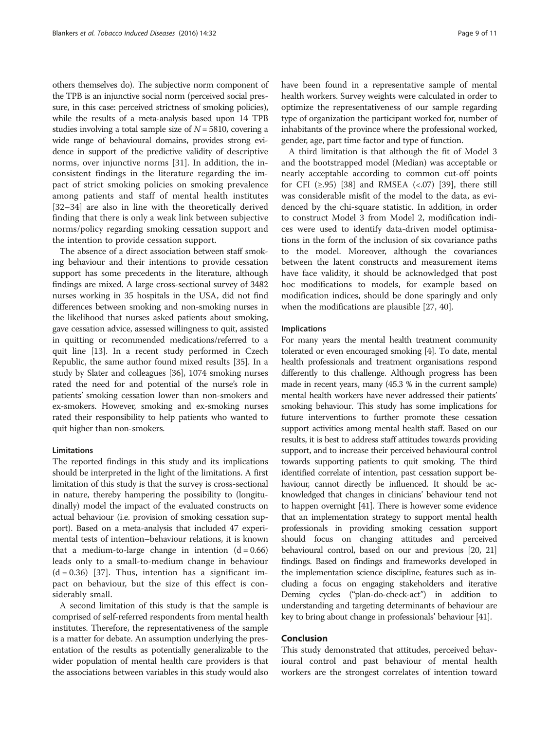others themselves do). The subjective norm component of the TPB is an injunctive social norm (perceived social pressure, in this case: perceived strictness of smoking policies), while the results of a meta-analysis based upon 14 TPB studies involving a total sample size of  $N = 5810$ , covering a wide range of behavioural domains, provides strong evidence in support of the predictive validity of descriptive norms, over injunctive norms [[31\]](#page-10-0). In addition, the inconsistent findings in the literature regarding the impact of strict smoking policies on smoking prevalence among patients and staff of mental health institutes [[32](#page-10-0)–[34\]](#page-10-0) are also in line with the theoretically derived finding that there is only a weak link between subjective norms/policy regarding smoking cessation support and the intention to provide cessation support.

The absence of a direct association between staff smoking behaviour and their intentions to provide cessation support has some precedents in the literature, although findings are mixed. A large cross-sectional survey of 3482 nurses working in 35 hospitals in the USA, did not find differences between smoking and non-smoking nurses in the likelihood that nurses asked patients about smoking, gave cessation advice, assessed willingness to quit, assisted in quitting or recommended medications/referred to a quit line [[13](#page-9-0)]. In a recent study performed in Czech Republic, the same author found mixed results [[35](#page-10-0)]. In a study by Slater and colleagues [\[36\]](#page-10-0), 1074 smoking nurses rated the need for and potential of the nurse's role in patients' smoking cessation lower than non-smokers and ex-smokers. However, smoking and ex-smoking nurses rated their responsibility to help patients who wanted to quit higher than non-smokers.

#### Limitations

The reported findings in this study and its implications should be interpreted in the light of the limitations. A first limitation of this study is that the survey is cross-sectional in nature, thereby hampering the possibility to (longitudinally) model the impact of the evaluated constructs on actual behaviour (i.e. provision of smoking cessation support). Based on a meta-analysis that included 47 experimental tests of intention–behaviour relations, it is known that a medium-to-large change in intention  $(d = 0.66)$ leads only to a small-to-medium change in behaviour  $(d = 0.36)$  [\[37](#page-10-0)]. Thus, intention has a significant impact on behaviour, but the size of this effect is considerably small.

A second limitation of this study is that the sample is comprised of self-referred respondents from mental health institutes. Therefore, the representativeness of the sample is a matter for debate. An assumption underlying the presentation of the results as potentially generalizable to the wider population of mental health care providers is that the associations between variables in this study would also have been found in a representative sample of mental health workers. Survey weights were calculated in order to optimize the representativeness of our sample regarding type of organization the participant worked for, number of inhabitants of the province where the professional worked, gender, age, part time factor and type of function.

A third limitation is that although the fit of Model 3 and the bootstrapped model (Median) was acceptable or nearly acceptable according to common cut-off points for CFI  $(\geq .95)$  [\[38](#page-10-0)] and RMSEA  $(\leq .07)$  [[39](#page-10-0)], there still was considerable misfit of the model to the data, as evidenced by the chi-square statistic. In addition, in order to construct Model 3 from Model 2, modification indices were used to identify data-driven model optimisations in the form of the inclusion of six covariance paths to the model. Moreover, although the covariances between the latent constructs and measurement items have face validity, it should be acknowledged that post hoc modifications to models, for example based on modification indices, should be done sparingly and only when the modifications are plausible [\[27, 40\]](#page-10-0).

## Implications

For many years the mental health treatment community tolerated or even encouraged smoking [[4](#page-9-0)]. To date, mental health professionals and treatment organisations respond differently to this challenge. Although progress has been made in recent years, many (45.3 % in the current sample) mental health workers have never addressed their patients' smoking behaviour. This study has some implications for future interventions to further promote these cessation support activities among mental health staff. Based on our results, it is best to address staff attitudes towards providing support, and to increase their perceived behavioural control towards supporting patients to quit smoking. The third identified correlate of intention, past cessation support behaviour, cannot directly be influenced. It should be acknowledged that changes in clinicians' behaviour tend not to happen overnight [\[41\]](#page-10-0). There is however some evidence that an implementation strategy to support mental health professionals in providing smoking cessation support should focus on changing attitudes and perceived behavioural control, based on our and previous [[20](#page-9-0), [21](#page-10-0)] findings. Based on findings and frameworks developed in the implementation science discipline, features such as including a focus on engaging stakeholders and iterative Deming cycles ("plan-do-check-act") in addition to understanding and targeting determinants of behaviour are key to bring about change in professionals' behaviour [\[41\]](#page-10-0).

#### Conclusion

This study demonstrated that attitudes, perceived behavioural control and past behaviour of mental health workers are the strongest correlates of intention toward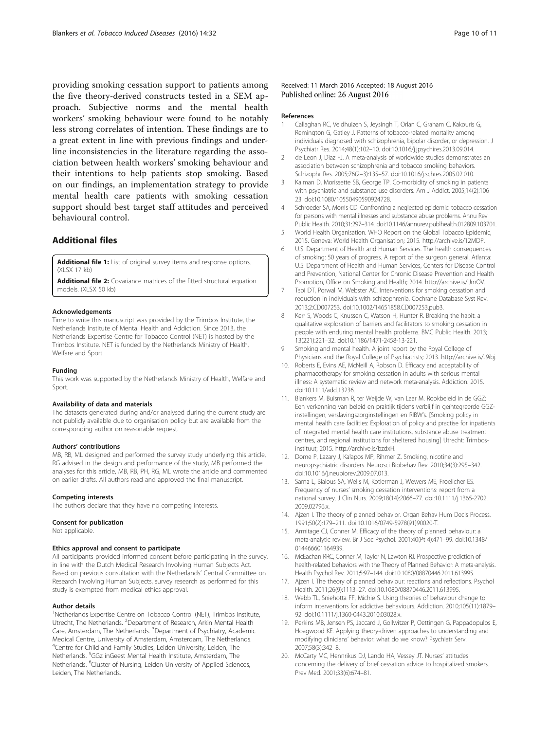<span id="page-9-0"></span>providing smoking cessation support to patients among the five theory-derived constructs tested in a SEM approach. Subjective norms and the mental health workers' smoking behaviour were found to be notably less strong correlates of intention. These findings are to a great extent in line with previous findings and underline inconsistencies in the literature regarding the association between health workers' smoking behaviour and their intentions to help patients stop smoking. Based on our findings, an implementation strategy to provide mental health care patients with smoking cessation support should best target staff attitudes and perceived behavioural control.

## Additional files

[Additional file 1:](dx.doi.org/10.1186/s12971-016-0096-5) List of original survey items and response options. (XI SX 17 kb)

[Additional file 2:](dx.doi.org/10.1186/s12971-016-0096-5) Covariance matrices of the fitted structural equation models. (XLSX 50 kb)

#### Acknowledgements

Time to write this manuscript was provided by the Trimbos Institute, the Netherlands Institute of Mental Health and Addiction. Since 2013, the Netherlands Expertise Centre for Tobacco Control (NET) is hosted by the Trimbos Institute. NET is funded by the Netherlands Ministry of Health, Welfare and Sport.

#### Funding

This work was supported by the Netherlands Ministry of Health, Welfare and Sport.

#### Availability of data and materials

The datasets generated during and/or analysed during the current study are not publicly available due to organisation policy but are available from the corresponding author on reasonable request.

#### Authors' contributions

MB, RB, ML designed and performed the survey study underlying this article, RG advised in the design and performance of the study, MB performed the analyses for this article, MB, RB, PH, RG, ML wrote the article and commented on earlier drafts. All authors read and approved the final manuscript.

#### Competing interests

The authors declare that they have no competing interests.

#### Consent for publication

Not applicable.

#### Ethics approval and consent to participate

All participants provided informed consent before participating in the survey, in line with the Dutch Medical Research Involving Human Subjects Act. Based on previous consultation with the Netherlands' Central Committee on Research Involving Human Subjects, survey research as performed for this study is exempted from medical ethics approval.

#### Author details

<sup>1</sup>Netherlands Expertise Centre on Tobacco Control (NET), Trimbos Institute, Utrecht, The Netherlands. <sup>2</sup>Department of Research, Arkin Mental Health Care, Amsterdam, The Netherlands. <sup>3</sup>Department of Psychiatry, Academic Medical Centre, University of Amsterdam, Amsterdam, The Netherlands. 4 Centre for Child and Family Studies, Leiden University, Leiden, The Netherlands. <sup>5</sup>GGz inGeest Mental Health Institute, Amsterdam, The Netherlands. <sup>6</sup>Cluster of Nursing, Leiden University of Applied Sciences, Leiden, The Netherlands.

#### Received: 11 March 2016 Accepted: 18 August 2016 Published online: 26 August 2016

#### References

- 1. Callaghan RC, Veldhuizen S, Jeysingh T, Orlan C, Graham C, Kakouris G, Remington G, Gatley J. Patterns of tobacco-related mortality among individuals diagnosed with schizophrenia, bipolar disorder, or depression. J Psychiatr Res. 2014;48(1):102–10. doi[:10.1016/j.jpsychires.2013.09.014.](http://dx.doi.org/10.1016/j.jpsychires.2013.09.014)
- 2. de Leon J, Diaz FJ. A meta-analysis of worldwide studies demonstrates an association between schizophrenia and tobacco smoking behaviors. Schizophr Res. 2005;76(2–3):135–57. doi:[10.1016/j.schres.2005.02.010.](http://dx.doi.org/10.1016/j.schres.2005.02.010)
- 3. Kalman D, Morissette SB, George TP. Co-morbidity of smoking in patients with psychiatric and substance use disorders. Am J Addict. 2005;14(2):106– 23. doi[:10.1080/10550490590924728](http://dx.doi.org/10.1080/10550490590924728).
- 4. Schroeder SA, Morris CD. Confronting a neglected epidemic: tobacco cessation for persons with mental illnesses and substance abuse problems. Annu Rev Public Health. 2010;31:297–314. doi:[10.1146/annurev.publhealth.012809.103701.](http://dx.doi.org/10.1146/annurev.publhealth.012809.103701)
- 5. World Health Organisation. WHO Report on the Global Tobacco Epidemic, 2015. Geneva: World Health Organisation; 2015. [http://archive.is/12MDP.](http://archive.is/12MDP)
- 6. U.S. Department of Health and Human Services. The health consequences of smoking: 50 years of progress. A report of the surgeon general. Atlanta: U.S. Department of Health and Human Services, Centers for Disease Control and Prevention, National Center for Chronic Disease Prevention and Health Promotion, Office on Smoking and Health; 2014.<http://archive.is/iJmOV>.
- 7. Tsoi DT, Porwal M, Webster AC. Interventions for smoking cessation and reduction in individuals with schizophrenia. Cochrane Database Syst Rev. 2013;2:CD007253. doi:[10.1002/14651858.CD007253.pub3.](http://dx.doi.org/10.1002/14651858.CD007253.pub3)
- 8. Kerr S, Woods C, Knussen C, Watson H, Hunter R. Breaking the habit: a qualitative exploration of barriers and facilitators to smoking cessation in people with enduring mental health problems. BMC Public Health. 2013; 13(221):221–32. doi:[10.1186/1471-2458-13-221.](http://dx.doi.org/10.1186/1471-2458-13-221)
- 9. Smoking and mental health. A joint report by the Royal College of Physicians and the Royal College of Psychiatrists; 2013. [http://archive.is/J9ibj.](http://archive.is/J9ibj)
- 10. Roberts E, Evins AE, McNeill A, Robson D. Efficacy and acceptability of pharmacotherapy for smoking cessation in adults with serious mental illness: A systematic review and network meta-analysis. Addiction. 2015. doi[:10.1111/add.13236](http://dx.doi.org/10.1111/add.13236).
- 11. Blankers M, Buisman R, ter Weijde W, van Laar M. Rookbeleid in de GGZ: Een verkenning van beleid en praktijk tijdens verblijf in geïntegreerde GGZinstellingen, verslavingszorginstellingen en RIBW's. [Smoking policy in mental health care facilities: Exploration of policy and practise for inpatients of integrated mental health care institutions, substance abuse treatment centres, and regional institutions for sheltered housing] Utrecht: Trimbosinstituut; 2015.<http://archive.is/bzdxH>.
- 12. Dome P, Lazary J, Kalapos MP, Rihmer Z. Smoking, nicotine and neuropsychiatric disorders. Neurosci Biobehav Rev. 2010;34(3):295–342. doi[:10.1016/j.neubiorev.2009.07.013.](http://dx.doi.org/10.1016/j.neubiorev.2009.07.013)
- 13. Sarna L, Bialous SA, Wells M, Kotlerman J, Wewers ME, Froelicher ES. Frequency of nurses' smoking cessation interventions: report from a national survey. J Clin Nurs. 2009;18(14):2066–77. doi:[10.1111/j.1365-2702.](http://dx.doi.org/10.1111/j.1365-2702.2009.02796.x) [2009.02796.x.](http://dx.doi.org/10.1111/j.1365-2702.2009.02796.x)
- 14. Ajzen I. The theory of planned behavior. Organ Behav Hum Decis Process. 1991;50(2):179–211. doi[:10.1016/0749-5978\(91\)90020-T.](http://dx.doi.org/10.1016/0749-5978(91)90020-T)
- 15. Armitage CJ, Conner M. Efficacy of the theory of planned behaviour: a meta-analytic review. Br J Soc Psychol. 2001;40(Pt 4):471–99. doi:[10.1348/](http://dx.doi.org/10.1348/014466601164939) [014466601164939.](http://dx.doi.org/10.1348/014466601164939)
- 16. McEachan RRC, Conner M, Taylor N, Lawton RJ. Prospective prediction of health-related behaviors with the Theory of Planned Behavior: A meta-analysis. Health Psychol Rev. 2011;5:97–144. doi[:10.1080/08870446.2011.613995.](http://dx.doi.org/10.1080/08870446.2011.613995)
- 17. Ajzen I. The theory of planned behaviour: reactions and reflections. Psychol Health. 2011;26(9):1113–27. doi[:10.1080/08870446.2011.613995](http://dx.doi.org/10.1080/08870446.2011.613995).
- 18. Webb TL, Sniehotta FF, Michie S. Using theories of behaviour change to inform interventions for addictive behaviours. Addiction. 2010;105(11):1879– 92. doi[:10.1111/j.1360-0443.2010.03028.x.](http://dx.doi.org/10.1111/j.1360-0443.2010.03028.x)
- 19. Perkins MB, Jensen PS, Jaccard J, Gollwitzer P, Oettingen G, Pappadopulos E, Hoagwood KE. Applying theory-driven approaches to understanding and modifying clinicians' behavior: what do we know? Psychiatr Serv. 2007;58(3):342–8.
- 20. McCarty MC, Hennrikus DJ, Lando HA, Vessey JT. Nurses' attitudes concerning the delivery of brief cessation advice to hospitalized smokers. Prev Med. 2001;33(6):674–81.